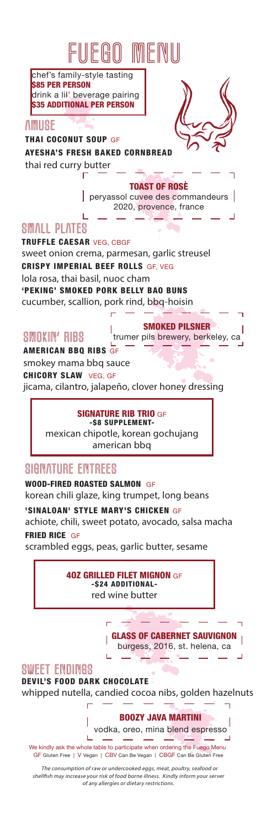# FUFAO MFI

chef's family-style tasting \$85 PER PERSON drink a lil' beverage pairing \$35 ADDITIONAL PER PERSON

#### **AMIISF**

THAI COCONUT SOUP GF AYESHA'S FRESH BAKED CORNBREAD thai red curry butter г

> TOAST OF ROSÈ peryassol cuvee des commandeurs 2020, provence, france

## SMALL PLATES

TRUFFLE CAESAR VEG, CBGF sweet onion crema, parmesan, garlic streusel CRISPY IMPERIAL BEEF ROLLS GF, VEG lola rosa, thai basil, nuoc cham 'PEKING' SMOKED PORK BELLY BAO BUNS cucumber, scallion, pork rind, bbq-hoisin

I

## SMOKIN' RIBS

SMOKED PILSNER trumer pils brewery, berkeley, ca

AMERICAN BBQ RIBS GF smokey mama bbq sauce CHICORY SLAW VEG, GF jicama, cilantro, jalapeño, clover honey dressing

#### SIGNATURE RIB TRIO GF

-\$8 SUPPLEMENTmexican chipotle, korean gochujang american bbq

## SIGNATURE ENTREES

WOOD-FIRED ROASTED SALMON GF korean chili glaze, king trumpet, long beans 'SINALOAN' STYLE MARY'S CHICKEN GF achiote, chili, sweet potato, avocado, salsa macha FRIED RICE GF

scrambled eggs, peas, garlic butter, sesame

4OZ GRILLED FILET MIGNON GF -\$24 ADDITIONALred wine butter

> Ē GLASS OF CABERNET SAUVIGNON burgess, 2016, st. helena, ca

#### SWEET ENDINGS

'n

I Ï

DEVIL'S FOOD DARK CHOCOLATE whipped nutella, candied cocoa nibs, golden hazelnuts

> BOOZY JAVA MARTINI vodka, oreo, mina blend espresso

GF Gluten Free | V Vegan | CBV Can Be Vegan | CBGF Can Be Gluten Free We kindly ask the whole table to participate when ordering the Fuego Menu

 The consumption of raw or undercooked eggs, meat, poultry, seafood or shellfish may increase your risk of food borne illness. Kindly inform your server of any allergies or dietary restrictions.